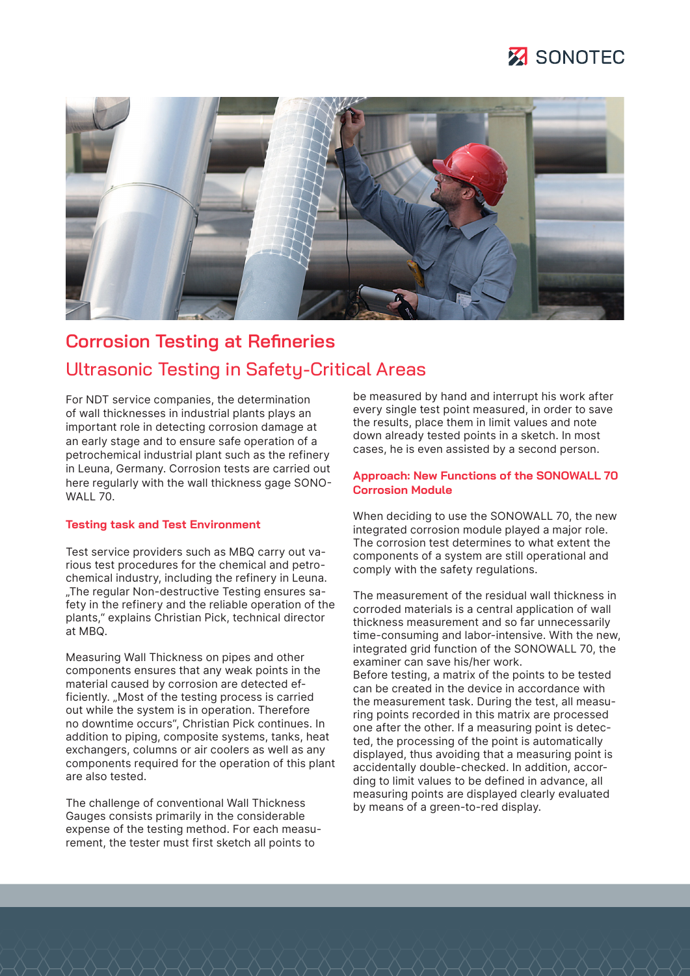



# **Corrosion Testing at Refineries** Ultrasonic Testing in Safety-Critical Areas

For NDT service companies, the determination of wall thicknesses in industrial plants plays an important role in detecting corrosion damage at an early stage and to ensure safe operation of a petrochemical industrial plant such as the refinery in Leuna, Germany. Corrosion tests are carried out here regularly with the wall thickness gage SONO-WALL 70.

#### **Testing task and Test Environment**

Test service providers such as MBQ carry out various test procedures for the chemical and petrochemical industry, including the refinery in Leuna. "The regular Non-destructive Testing ensures safety in the refinery and the reliable operation of the plants," explains Christian Pick, technical director at MBQ.

Measuring Wall Thickness on pipes and other components ensures that any weak points in the material caused by corrosion are detected efficiently. "Most of the testing process is carried out while the system is in operation. Therefore no downtime occurs", Christian Pick continues. In addition to piping, composite systems, tanks, heat exchangers, columns or air coolers as well as any components required for the operation of this plant are also tested.

The challenge of conventional Wall Thickness Gauges consists primarily in the considerable expense of the testing method. For each measurement, the tester must first sketch all points to

be measured by hand and interrupt his work after every single test point measured, in order to save the results, place them in limit values and note down already tested points in a sketch. In most cases, he is even assisted by a second person.

#### **Approach: New Functions of the SONOWALL 70 Corrosion Module**

When deciding to use the SONOWALL 70, the new integrated corrosion module played a major role. The corrosion test determines to what extent the components of a system are still operational and comply with the safety regulations.

The measurement of the residual wall thickness in corroded materials is a central application of wall thickness measurement and so far unnecessarily time-consuming and labor-intensive. With the new, integrated grid function of the SONOWALL 70, the examiner can save his/her work. Before testing, a matrix of the points to be tested can be created in the device in accordance with the measurement task. During the test, all measuring points recorded in this matrix are processed one after the other. If a measuring point is detected, the processing of the point is automatically displayed, thus avoiding that a measuring point is accidentally double-checked. In addition, according to limit values to be defined in advance, all measuring points are displayed clearly evaluated by means of a green-to-red display.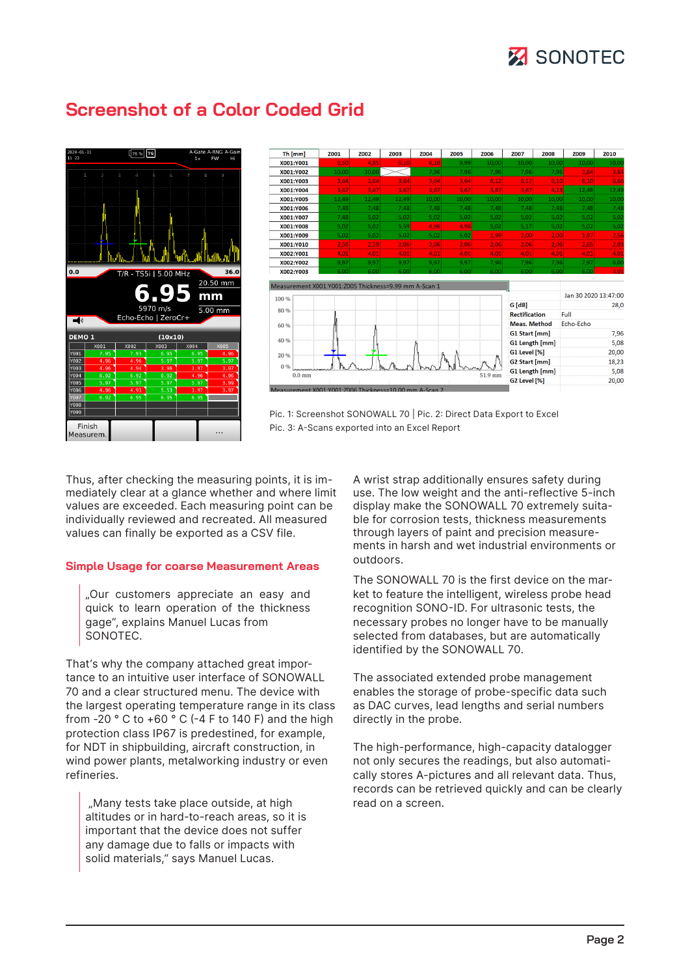# **X** SONOTEC



### **Screenshot of a Color Coded Grid**



Pic. 1: Screenshot SONOWALL 70 | Pic. 2: Direct Data Export to Excel Pic. 3: A-Scans exported into an Excel Report

Thus, after checking the measuring points, it is immediately clear at a glance whether and where limit values are exceeded. Each measuring point can be individually reviewed and recreated. All measured values can finally be exported as a CSV file.

#### **Simple Usage for coarse Measurement Areas**

"Our customers appreciate an easy and quick to learn operation of the thickness gage", explains Manuel Lucas from SONOTEC.

That's why the company attached great importance to an intuitive user interface of SONOWALL 70 and a clear structured menu. The device with the largest operating temperature range in its class from  $-20$  ° C to  $+60$  ° C ( $-4$  F to 140 F) and the high protection class IP67 is predestined, for example, for NDT in shipbuilding, aircraft construction, in wind power plants, metalworking industry or even refineries.

"Many tests take place outside, at high altitudes or in hard-to-reach areas, so it is important that the device does not suffer any damage due to falls or impacts with solid materials," says Manuel Lucas.

A wrist strap additionally ensures safety during use. The low weight and the anti-reflective 5-inch display make the SONOWALL 70 extremely suitable for corrosion tests, thickness measurements through layers of paint and precision measurements in harsh and wet industrial environments or outdoors.

The SONOWALL 70 is the first device on the market to feature the intelligent, wireless probe head recognition SONO-ID. For ultrasonic tests, the necessary probes no longer have to be manually selected from databases, but are automatically identified by the SONOWALL 70.

The associated extended probe management enables the storage of probe-specific data such as DAC curves, lead lengths and serial numbers directly in the probe.

The high-performance, high-capacity datalogger not only secures the readings, but also automatically stores A-pictures and all relevant data. Thus, records can be retrieved quickly and can be clearly read on a screen.